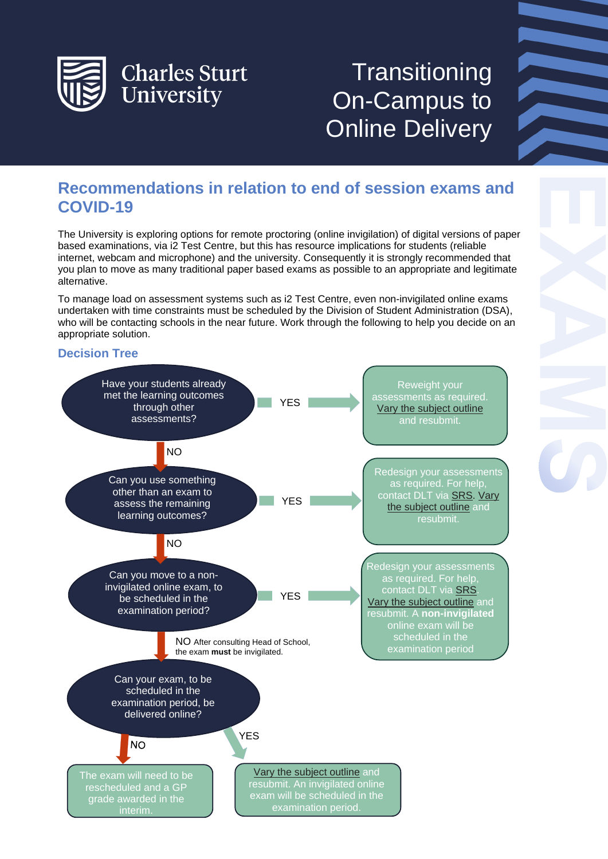

# **Transitioning** On-Campus to Online Delivery

# **Recommendations in relation to end of session exams and COVID-19**

The University is exploring options for remote proctoring (online invigilation) of digital versions of paper based examinations, via i2 Test Centre, but this has resource implications for students (reliable internet, webcam and microphone) and the university. Consequently it is strongly recommended that you plan to move as many traditional paper based exams as possible to an appropriate and legitimate alternative.

To manage load on assessment systems such as i2 Test Centre, even non-invigilated online exams undertaken with time constraints must be scheduled by the Division of Student Administration (DSA), who will be contacting schools in the near future. Work through the following to help you decide on an appropriate solution.

# **Decision Tree**